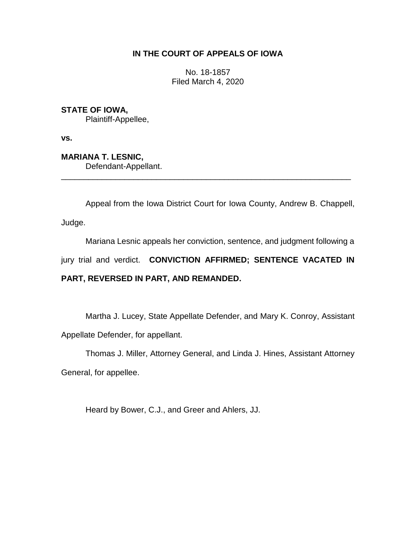# **IN THE COURT OF APPEALS OF IOWA**

No. 18-1857 Filed March 4, 2020

**STATE OF IOWA,**

Plaintiff-Appellee,

**vs.**

**MARIANA T. LESNIC,**

Defendant-Appellant.

Appeal from the Iowa District Court for Iowa County, Andrew B. Chappell,

Judge.

Mariana Lesnic appeals her conviction, sentence, and judgment following a

jury trial and verdict. **CONVICTION AFFIRMED; SENTENCE VACATED IN** 

\_\_\_\_\_\_\_\_\_\_\_\_\_\_\_\_\_\_\_\_\_\_\_\_\_\_\_\_\_\_\_\_\_\_\_\_\_\_\_\_\_\_\_\_\_\_\_\_\_\_\_\_\_\_\_\_\_\_\_\_\_\_\_\_

# **PART, REVERSED IN PART, AND REMANDED.**

Martha J. Lucey, State Appellate Defender, and Mary K. Conroy, Assistant Appellate Defender, for appellant.

Thomas J. Miller, Attorney General, and Linda J. Hines, Assistant Attorney

General, for appellee.

Heard by Bower, C.J., and Greer and Ahlers, JJ.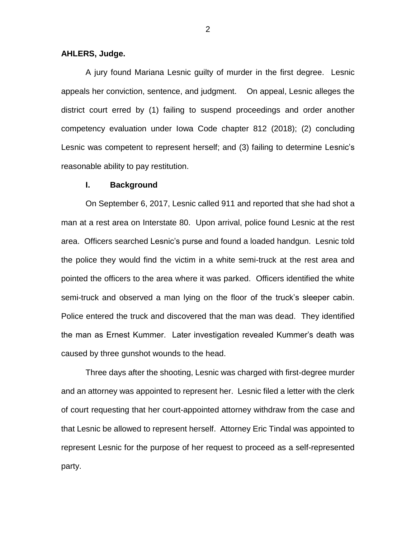## **AHLERS, Judge.**

A jury found Mariana Lesnic guilty of murder in the first degree. Lesnic appeals her conviction, sentence, and judgment. On appeal, Lesnic alleges the district court erred by (1) failing to suspend proceedings and order another competency evaluation under Iowa Code chapter 812 (2018); (2) concluding Lesnic was competent to represent herself; and (3) failing to determine Lesnic's reasonable ability to pay restitution.

#### **I. Background**

On September 6, 2017, Lesnic called 911 and reported that she had shot a man at a rest area on Interstate 80. Upon arrival, police found Lesnic at the rest area. Officers searched Lesnic's purse and found a loaded handgun. Lesnic told the police they would find the victim in a white semi-truck at the rest area and pointed the officers to the area where it was parked. Officers identified the white semi-truck and observed a man lying on the floor of the truck's sleeper cabin. Police entered the truck and discovered that the man was dead. They identified the man as Ernest Kummer. Later investigation revealed Kummer's death was caused by three gunshot wounds to the head.

Three days after the shooting, Lesnic was charged with first-degree murder and an attorney was appointed to represent her. Lesnic filed a letter with the clerk of court requesting that her court-appointed attorney withdraw from the case and that Lesnic be allowed to represent herself. Attorney Eric Tindal was appointed to represent Lesnic for the purpose of her request to proceed as a self-represented party.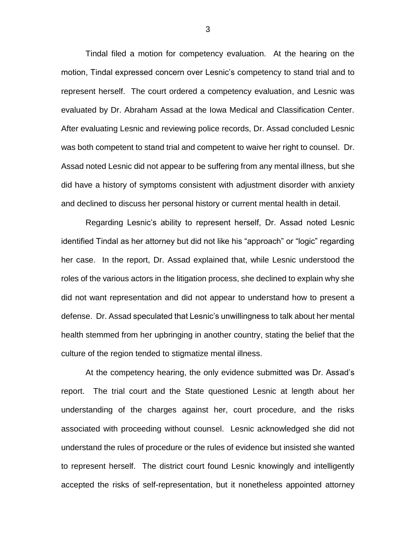Tindal filed a motion for competency evaluation. At the hearing on the motion, Tindal expressed concern over Lesnic's competency to stand trial and to represent herself. The court ordered a competency evaluation, and Lesnic was evaluated by Dr. Abraham Assad at the Iowa Medical and Classification Center. After evaluating Lesnic and reviewing police records, Dr. Assad concluded Lesnic was both competent to stand trial and competent to waive her right to counsel. Dr. Assad noted Lesnic did not appear to be suffering from any mental illness, but she did have a history of symptoms consistent with adjustment disorder with anxiety and declined to discuss her personal history or current mental health in detail.

Regarding Lesnic's ability to represent herself, Dr. Assad noted Lesnic identified Tindal as her attorney but did not like his "approach" or "logic" regarding her case. In the report, Dr. Assad explained that, while Lesnic understood the roles of the various actors in the litigation process, she declined to explain why she did not want representation and did not appear to understand how to present a defense. Dr. Assad speculated that Lesnic's unwillingness to talk about her mental health stemmed from her upbringing in another country, stating the belief that the culture of the region tended to stigmatize mental illness.

At the competency hearing, the only evidence submitted was Dr. Assad's report. The trial court and the State questioned Lesnic at length about her understanding of the charges against her, court procedure, and the risks associated with proceeding without counsel. Lesnic acknowledged she did not understand the rules of procedure or the rules of evidence but insisted she wanted to represent herself. The district court found Lesnic knowingly and intelligently accepted the risks of self-representation, but it nonetheless appointed attorney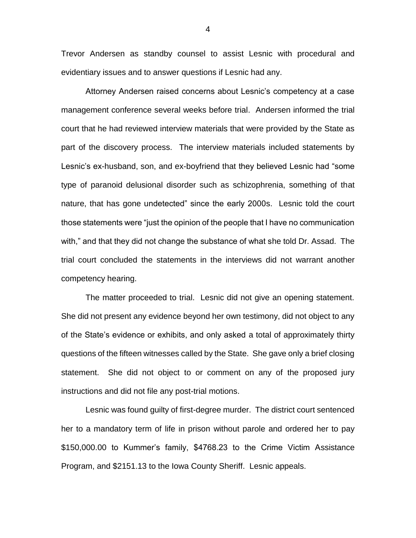Trevor Andersen as standby counsel to assist Lesnic with procedural and evidentiary issues and to answer questions if Lesnic had any.

Attorney Andersen raised concerns about Lesnic's competency at a case management conference several weeks before trial. Andersen informed the trial court that he had reviewed interview materials that were provided by the State as part of the discovery process. The interview materials included statements by Lesnic's ex-husband, son, and ex-boyfriend that they believed Lesnic had "some type of paranoid delusional disorder such as schizophrenia, something of that nature, that has gone undetected" since the early 2000s. Lesnic told the court those statements were "just the opinion of the people that I have no communication with," and that they did not change the substance of what she told Dr. Assad. The trial court concluded the statements in the interviews did not warrant another competency hearing.

The matter proceeded to trial. Lesnic did not give an opening statement. She did not present any evidence beyond her own testimony, did not object to any of the State's evidence or exhibits, and only asked a total of approximately thirty questions of the fifteen witnesses called by the State. She gave only a brief closing statement. She did not object to or comment on any of the proposed jury instructions and did not file any post-trial motions.

Lesnic was found guilty of first-degree murder. The district court sentenced her to a mandatory term of life in prison without parole and ordered her to pay \$150,000.00 to Kummer's family, \$4768.23 to the Crime Victim Assistance Program, and \$2151.13 to the Iowa County Sheriff. Lesnic appeals.

4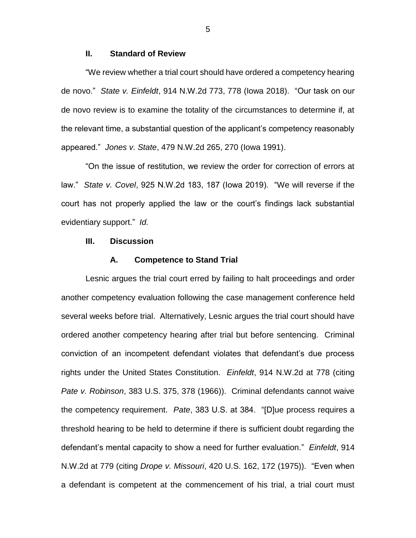## **II. Standard of Review**

"We review whether a trial court should have ordered a competency hearing de novo." *State v. Einfeldt*, 914 N.W.2d 773, 778 (Iowa 2018). "Our task on our de novo review is to examine the totality of the circumstances to determine if, at the relevant time, a substantial question of the applicant's competency reasonably appeared." *Jones v. State*, 479 N.W.2d 265, 270 (Iowa 1991).

"On the issue of restitution, we review the order for correction of errors at law." *State v. Covel*, 925 N.W.2d 183, 187 (Iowa 2019). "We will reverse if the court has not properly applied the law or the court's findings lack substantial evidentiary support." *Id.*

## **III. Discussion**

#### **A. Competence to Stand Trial**

Lesnic argues the trial court erred by failing to halt proceedings and order another competency evaluation following the case management conference held several weeks before trial. Alternatively, Lesnic argues the trial court should have ordered another competency hearing after trial but before sentencing. Criminal conviction of an incompetent defendant violates that defendant's due process rights under the United States Constitution. *Einfeldt*, 914 N.W.2d at 778 (citing *Pate v. Robinson*, 383 U.S. 375, 378 (1966)). Criminal defendants cannot waive the competency requirement. *Pate*, 383 U.S. at 384. "[D]ue process requires a threshold hearing to be held to determine if there is sufficient doubt regarding the defendant's mental capacity to show a need for further evaluation." *Einfeldt*, 914 N.W.2d at 779 (citing *Drope v. Missouri*, 420 U.S. 162, 172 (1975)). "Even when a defendant is competent at the commencement of his trial, a trial court must

5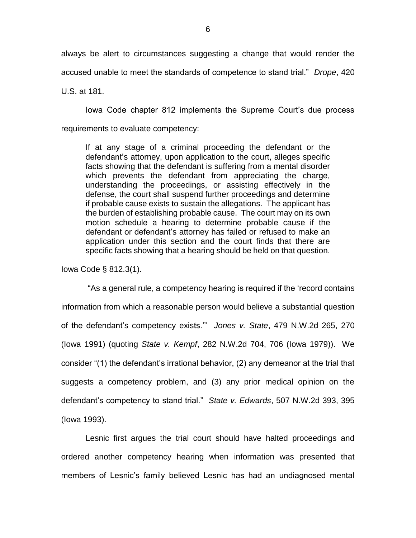always be alert to circumstances suggesting a change that would render the accused unable to meet the standards of competence to stand trial." *Drope*, 420

U.S. at 181.

Iowa Code chapter 812 implements the Supreme Court's due process requirements to evaluate competency:

If at any stage of a criminal proceeding the defendant or the defendant's attorney, upon application to the court, alleges specific facts showing that the defendant is suffering from a mental disorder which prevents the defendant from appreciating the charge, understanding the proceedings, or assisting effectively in the defense, the court shall suspend further proceedings and determine if probable cause exists to sustain the allegations. The applicant has the burden of establishing probable cause. The court may on its own motion schedule a hearing to determine probable cause if the defendant or defendant's attorney has failed or refused to make an application under this section and the court finds that there are specific facts showing that a hearing should be held on that question.

Iowa Code § 812.3(1).

"As a general rule, a competency hearing is required if the 'record contains information from which a reasonable person would believe a substantial question of the defendant's competency exists.'" *Jones v. State*, 479 N.W.2d 265, 270 (Iowa 1991) (quoting *State v. Kempf*, 282 N.W.2d 704, 706 (Iowa 1979)). We consider "(1) the defendant's irrational behavior, (2) any demeanor at the trial that suggests a competency problem, and (3) any prior medical opinion on the defendant's competency to stand trial." *State v. Edwards*, 507 N.W.2d 393, 395 (Iowa 1993).

Lesnic first argues the trial court should have halted proceedings and ordered another competency hearing when information was presented that members of Lesnic's family believed Lesnic has had an undiagnosed mental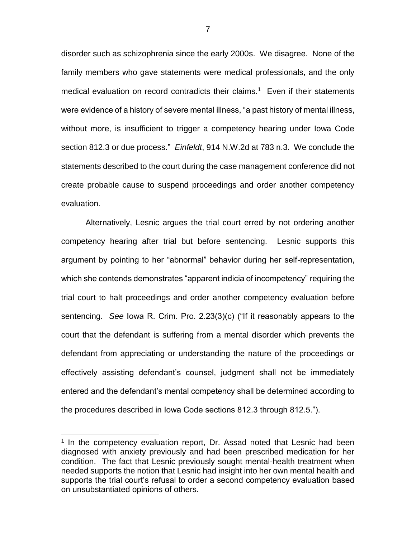disorder such as schizophrenia since the early 2000s. We disagree. None of the family members who gave statements were medical professionals, and the only medical evaluation on record contradicts their claims.<sup>1</sup> Even if their statements were evidence of a history of severe mental illness, "a past history of mental illness, without more, is insufficient to trigger a competency hearing under Iowa Code section 812.3 or due process." *Einfeldt*, 914 N.W.2d at 783 n.3. We conclude the statements described to the court during the case management conference did not create probable cause to suspend proceedings and order another competency evaluation.

Alternatively, Lesnic argues the trial court erred by not ordering another competency hearing after trial but before sentencing. Lesnic supports this argument by pointing to her "abnormal" behavior during her self-representation, which she contends demonstrates "apparent indicia of incompetency" requiring the trial court to halt proceedings and order another competency evaluation before sentencing. *See* Iowa R. Crim. Pro. 2.23(3)(c) ("If it reasonably appears to the court that the defendant is suffering from a mental disorder which prevents the defendant from appreciating or understanding the nature of the proceedings or effectively assisting defendant's counsel, judgment shall not be immediately entered and the defendant's mental competency shall be determined according to the procedures described in Iowa Code sections 812.3 through 812.5.").

 $\overline{a}$ 

<sup>&</sup>lt;sup>1</sup> In the competency evaluation report, Dr. Assad noted that Lesnic had been diagnosed with anxiety previously and had been prescribed medication for her condition. The fact that Lesnic previously sought mental-health treatment when needed supports the notion that Lesnic had insight into her own mental health and supports the trial court's refusal to order a second competency evaluation based on unsubstantiated opinions of others.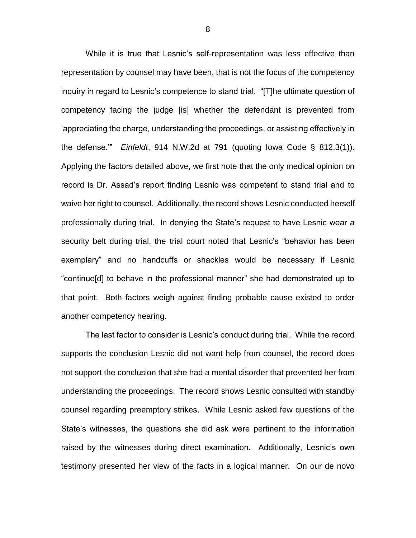While it is true that Lesnic's self-representation was less effective than representation by counsel may have been, that is not the focus of the competency inquiry in regard to Lesnic's competence to stand trial. "[T]he ultimate question of competency facing the judge [is] whether the defendant is prevented from 'appreciating the charge, understanding the proceedings, or assisting effectively in the defense.'" *Einfeldt*, 914 N.W.2d at 791 (quoting Iowa Code § 812.3(1)). Applying the factors detailed above, we first note that the only medical opinion on record is Dr. Assad's report finding Lesnic was competent to stand trial and to waive her right to counsel. Additionally, the record shows Lesnic conducted herself professionally during trial. In denying the State's request to have Lesnic wear a security belt during trial, the trial court noted that Lesnic's "behavior has been exemplary" and no handcuffs or shackles would be necessary if Lesnic "continue[d] to behave in the professional manner" she had demonstrated up to that point. Both factors weigh against finding probable cause existed to order another competency hearing.

The last factor to consider is Lesnic's conduct during trial. While the record supports the conclusion Lesnic did not want help from counsel, the record does not support the conclusion that she had a mental disorder that prevented her from understanding the proceedings. The record shows Lesnic consulted with standby counsel regarding preemptory strikes. While Lesnic asked few questions of the State's witnesses, the questions she did ask were pertinent to the information raised by the witnesses during direct examination. Additionally, Lesnic's own testimony presented her view of the facts in a logical manner. On our de novo

8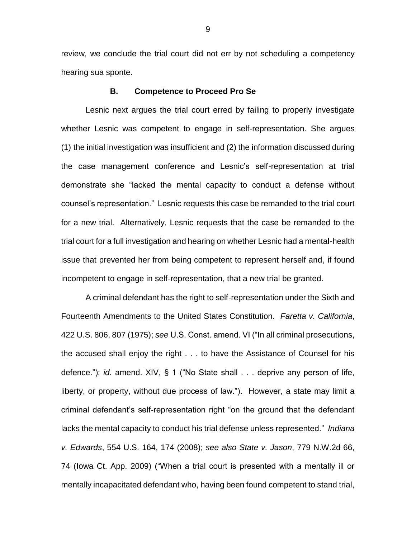review, we conclude the trial court did not err by not scheduling a competency hearing sua sponte.

## **B. Competence to Proceed Pro Se**

Lesnic next argues the trial court erred by failing to properly investigate whether Lesnic was competent to engage in self-representation. She argues (1) the initial investigation was insufficient and (2) the information discussed during the case management conference and Lesnic's self-representation at trial demonstrate she "lacked the mental capacity to conduct a defense without counsel's representation." Lesnic requests this case be remanded to the trial court for a new trial. Alternatively, Lesnic requests that the case be remanded to the trial court for a full investigation and hearing on whether Lesnic had a mental-health issue that prevented her from being competent to represent herself and, if found incompetent to engage in self-representation, that a new trial be granted.

A criminal defendant has the right to self-representation under the Sixth and Fourteenth Amendments to the United States Constitution. *Faretta v. California*, 422 U.S. 806, 807 (1975); *see* U.S. Const. amend. VI ("In all criminal prosecutions, the accused shall enjoy the right . . . to have the Assistance of Counsel for his defence."); *id.* amend. XIV, § 1 ("No State shall . . . deprive any person of life, liberty, or property, without due process of law."). However, a state may limit a criminal defendant's self-representation right "on the ground that the defendant lacks the mental capacity to conduct his trial defense unless represented." *Indiana v. Edwards*, 554 U.S. 164, 174 (2008); *see also State v. Jason*, 779 N.W.2d 66, 74 (Iowa Ct. App. 2009) ("When a trial court is presented with a mentally ill or mentally incapacitated defendant who, having been found competent to stand trial,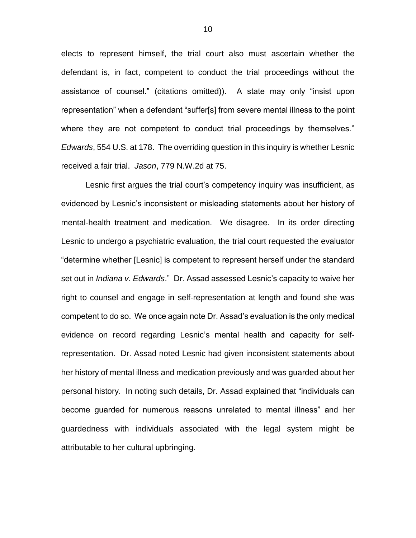elects to represent himself, the trial court also must ascertain whether the defendant is, in fact, competent to conduct the trial proceedings without the assistance of counsel." (citations omitted)). A state may only "insist upon representation" when a defendant "suffer[s] from severe mental illness to the point where they are not competent to conduct trial proceedings by themselves." *Edwards*, 554 U.S. at 178. The overriding question in this inquiry is whether Lesnic received a fair trial. *Jason*, 779 N.W.2d at 75.

Lesnic first argues the trial court's competency inquiry was insufficient, as evidenced by Lesnic's inconsistent or misleading statements about her history of mental-health treatment and medication. We disagree. In its order directing Lesnic to undergo a psychiatric evaluation, the trial court requested the evaluator "determine whether [Lesnic] is competent to represent herself under the standard set out in *Indiana v. Edwards*." Dr. Assad assessed Lesnic's capacity to waive her right to counsel and engage in self-representation at length and found she was competent to do so. We once again note Dr. Assad's evaluation is the only medical evidence on record regarding Lesnic's mental health and capacity for selfrepresentation. Dr. Assad noted Lesnic had given inconsistent statements about her history of mental illness and medication previously and was guarded about her personal history. In noting such details, Dr. Assad explained that "individuals can become guarded for numerous reasons unrelated to mental illness" and her guardedness with individuals associated with the legal system might be attributable to her cultural upbringing.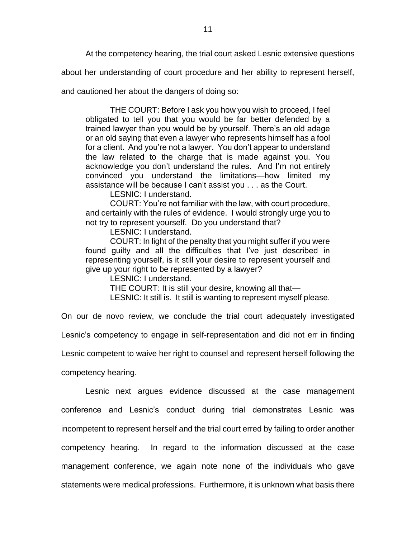At the competency hearing, the trial court asked Lesnic extensive questions

about her understanding of court procedure and her ability to represent herself,

and cautioned her about the dangers of doing so:

THE COURT: Before I ask you how you wish to proceed, I feel obligated to tell you that you would be far better defended by a trained lawyer than you would be by yourself. There's an old adage or an old saying that even a lawyer who represents himself has a fool for a client. And you're not a lawyer. You don't appear to understand the law related to the charge that is made against you. You acknowledge you don't understand the rules. And I'm not entirely convinced you understand the limitations—how limited my assistance will be because I can't assist you . . . as the Court.

LESNIC: I understand.

COURT: You're not familiar with the law, with court procedure, and certainly with the rules of evidence. I would strongly urge you to not try to represent yourself. Do you understand that?

LESNIC: I understand.

COURT: In light of the penalty that you might suffer if you were found guilty and all the difficulties that I've just described in representing yourself, is it still your desire to represent yourself and give up your right to be represented by a lawyer?

LESNIC: I understand.

THE COURT: It is still your desire, knowing all that—

LESNIC: It still is. It still is wanting to represent myself please.

On our de novo review, we conclude the trial court adequately investigated

Lesnic's competency to engage in self-representation and did not err in finding

Lesnic competent to waive her right to counsel and represent herself following the

competency hearing.

Lesnic next argues evidence discussed at the case management conference and Lesnic's conduct during trial demonstrates Lesnic was incompetent to represent herself and the trial court erred by failing to order another competency hearing. In regard to the information discussed at the case management conference, we again note none of the individuals who gave statements were medical professions. Furthermore, it is unknown what basis there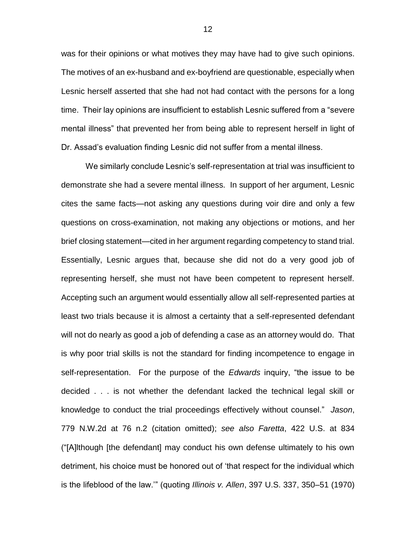was for their opinions or what motives they may have had to give such opinions. The motives of an ex-husband and ex-boyfriend are questionable, especially when Lesnic herself asserted that she had not had contact with the persons for a long time. Their lay opinions are insufficient to establish Lesnic suffered from a "severe mental illness" that prevented her from being able to represent herself in light of Dr. Assad's evaluation finding Lesnic did not suffer from a mental illness.

We similarly conclude Lesnic's self-representation at trial was insufficient to demonstrate she had a severe mental illness. In support of her argument, Lesnic cites the same facts—not asking any questions during voir dire and only a few questions on cross-examination, not making any objections or motions, and her brief closing statement—cited in her argument regarding competency to stand trial. Essentially, Lesnic argues that, because she did not do a very good job of representing herself, she must not have been competent to represent herself. Accepting such an argument would essentially allow all self-represented parties at least two trials because it is almost a certainty that a self-represented defendant will not do nearly as good a job of defending a case as an attorney would do. That is why poor trial skills is not the standard for finding incompetence to engage in self-representation. For the purpose of the *Edwards* inquiry, "the issue to be decided . . . is not whether the defendant lacked the technical legal skill or knowledge to conduct the trial proceedings effectively without counsel." *Jason*, 779 N.W.2d at 76 n.2 (citation omitted); *see also Faretta*, 422 U.S. at 834 ("[A]lthough [the defendant] may conduct his own defense ultimately to his own detriment, his choice must be honored out of 'that respect for the individual which is the lifeblood of the law.'" (quoting *Illinois v. Allen*, 397 U.S. 337, 350–51 (1970)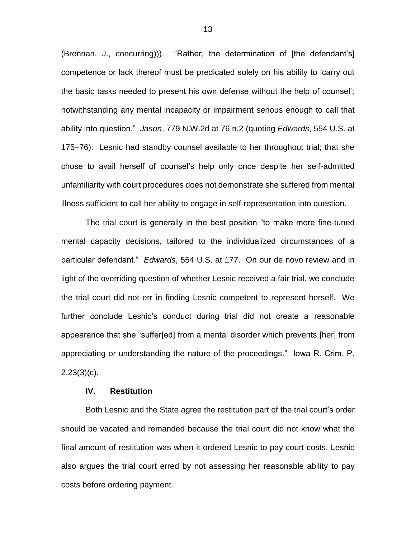(Brennan, J., concurring))). "Rather, the determination of [the defendant's] competence or lack thereof must be predicated solely on his ability to 'carry out the basic tasks needed to present his own defense without the help of counsel'; notwithstanding any mental incapacity or impairment serious enough to call that ability into question." *Jason*, 779 N.W.2d at 76 n.2 (quoting *Edwards*, 554 U.S. at 175–76). Lesnic had standby counsel available to her throughout trial; that she chose to avail herself of counsel's help only once despite her self-admitted unfamiliarity with court procedures does not demonstrate she suffered from mental illness sufficient to call her ability to engage in self-representation into question.

The trial court is generally in the best position "to make more fine-tuned mental capacity decisions, tailored to the individualized circumstances of a particular defendant." *Edwards*, 554 U.S. at 177. On our de novo review and in light of the overriding question of whether Lesnic received a fair trial, we conclude the trial court did not err in finding Lesnic competent to represent herself. We further conclude Lesnic's conduct during trial did not create a reasonable appearance that she "suffer[ed] from a mental disorder which prevents [her] from appreciating or understanding the nature of the proceedings." Iowa R. Crim. P. 2.23(3)(c).

#### **IV. Restitution**

Both Lesnic and the State agree the restitution part of the trial court's order should be vacated and remanded because the trial court did not know what the final amount of restitution was when it ordered Lesnic to pay court costs. Lesnic also argues the trial court erred by not assessing her reasonable ability to pay costs before ordering payment.